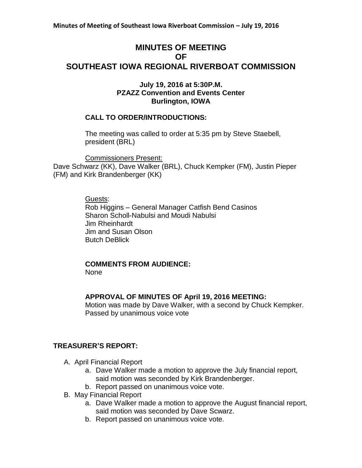## **MINUTES OF MEETING OF SOUTHEAST IOWA REGIONAL RIVERBOAT COMMISSION**

#### **July 19, 2016 at 5:30P.M. PZAZZ Convention and Events Center Burlington, IOWA**

#### **CALL TO ORDER/INTRODUCTIONS:**

The meeting was called to order at 5:35 pm by Steve Staebell, president (BRL)

Commissioners Present: Dave Schwarz (KK), Dave Walker (BRL), Chuck Kempker (FM), Justin Pieper (FM) and Kirk Brandenberger (KK)

> Guests: Rob Higgins – General Manager Catfish Bend Casinos Sharon Scholl-Nabulsi and Moudi Nabulsi Jim Rheinhardt Jim and Susan Olson Butch DeBlick

# **COMMENTS FROM AUDIENCE:**

None

#### **APPROVAL OF MINUTES OF April 19, 2016 MEETING:**

Motion was made by Dave Walker, with a second by Chuck Kempker. Passed by unanimous voice vote

#### **TREASURER'S REPORT:**

- A. April Financial Report
	- a. Dave Walker made a motion to approve the July financial report, said motion was seconded by Kirk Brandenberger.
	- b. Report passed on unanimous voice vote.
- B. May Financial Report
	- a. Dave Walker made a motion to approve the August financial report, said motion was seconded by Dave Scwarz.
	- b. Report passed on unanimous voice vote.